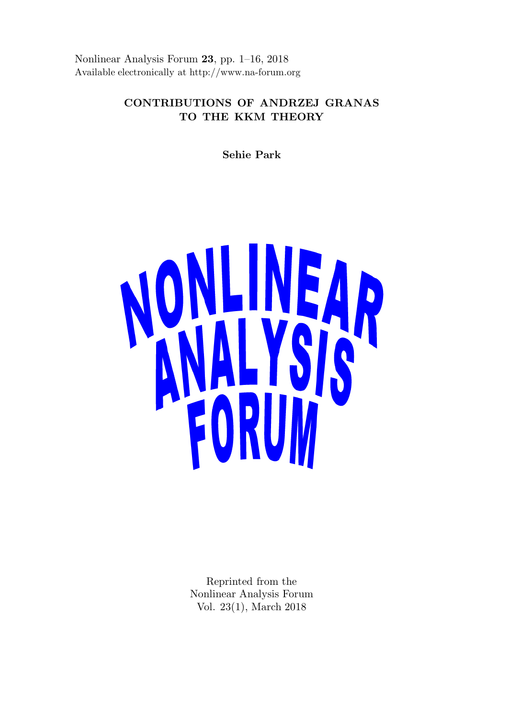Nonlinear Analysis Forum 23, pp. 1–16, 2018 Available electronically at http://www.na-forum.org

# CONTRIBUTIONS OF ANDRZEJ GRANAS TO THE KKM THEORY

Sehie Park



Reprinted from the Nonlinear Analysis Forum Vol. 23(1), March 2018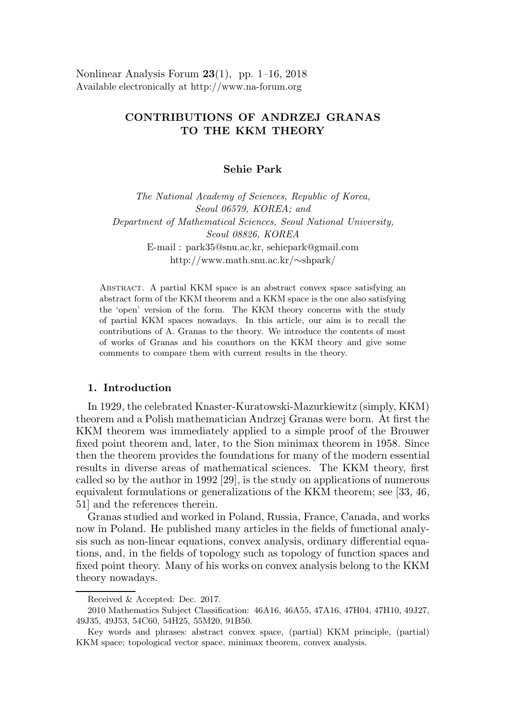Nonlinear Analysis Forum  $23(1)$ , pp. 1–16, 2018 Available electronically at http://www.na-forum.org

# CONTRIBUTIONS OF ANDRZEJ GRANAS TO THE KKM THEORY

Sehie Park

The National Academy of Sciences, Republic of Korea, Seoul 06579, KOREA; and Department of Mathematical Sciences, Seoul National University, Seoul 08826, KOREA E-mail : park35@snu.ac.kr, sehiepark@gmail.com http://www.math.snu.ac.kr/∼shpark/

Abstract. A partial KKM space is an abstract convex space satisfying an abstract form of the KKM theorem and a KKM space is the one also satisfying the 'open' version of the form. The KKM theory concerns with the study of partial KKM spaces nowadays. In this article, our aim is to recall the contributions of A. Granas to the theory. We introduce the contents of most of works of Granas and his coauthors on the KKM theory and give some comments to compare them with current results in the theory.

### 1. Introduction

In 1929, the celebrated Knaster-Kuratowski-Mazurkiewitz (simply, KKM) theorem and a Polish mathematician Andrzej Granas were born. At first the KKM theorem was immediately applied to a simple proof of the Brouwer fixed point theorem and, later, to the Sion minimax theorem in 1958. Since then the theorem provides the foundations for many of the modern essential results in diverse areas of mathematical sciences. The KKM theory, first called so by the author in 1992 [29], is the study on applications of numerous equivalent formulations or generalizations of the KKM theorem; see [33, 46, 51] and the references therein.

Granas studied and worked in Poland, Russia, France, Canada, and works now in Poland. He published many articles in the fields of functional analysis such as non-linear equations, convex analysis, ordinary differential equations, and, in the fields of topology such as topology of function spaces and fixed point theory. Many of his works on convex analysis belong to the KKM theory nowadays.

Received & Accepted: Dec. 2017.

<sup>2010</sup> Mathematics Subject Classification: 46A16, 46A55, 47A16, 47H04, 47H10, 49J27, 49J35, 49J53, 54C60, 54H25, 55M20, 91B50.

Key words and phrases: abstract convex space, (partial) KKM principle, (partial) KKM space; topological vector space, minimax theorem, convex analysis.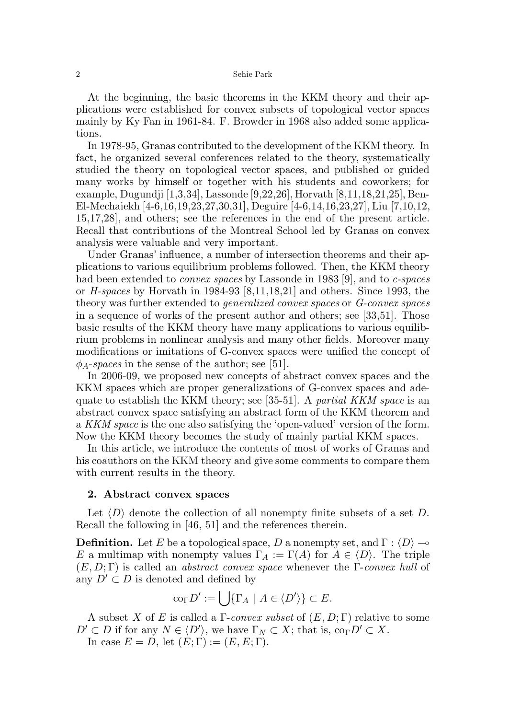At the beginning, the basic theorems in the KKM theory and their applications were established for convex subsets of topological vector spaces mainly by Ky Fan in 1961-84. F. Browder in 1968 also added some applications.

In 1978-95, Granas contributed to the development of the KKM theory. In fact, he organized several conferences related to the theory, systematically studied the theory on topological vector spaces, and published or guided many works by himself or together with his students and coworkers; for example, Dugundji [1,3,34], Lassonde [9,22,26], Horvath [8,11,18,21,25], Ben-El-Mechaiekh [4-6,16,19,23,27,30,31], Deguire [4-6,14,16,23,27], Liu [7,10,12, 15,17,28], and others; see the references in the end of the present article. Recall that contributions of the Montreal School led by Granas on convex analysis were valuable and very important.

Under Granas' influence, a number of intersection theorems and their applications to various equilibrium problems followed. Then, the KKM theory had been extended to *convex spaces* by Lassonde in 1983 [9], and to *c*-spaces or  $H$ -spaces by Horvath in 1984-93 [8,11,18,21] and others. Since 1993, the theory was further extended to generalized convex spaces or G-convex spaces in a sequence of works of the present author and others; see [33,51]. Those basic results of the KKM theory have many applications to various equilibrium problems in nonlinear analysis and many other fields. Moreover many modifications or imitations of G-convex spaces were unified the concept of  $\phi_A$ -spaces in the sense of the author; see [51].

In 2006-09, we proposed new concepts of abstract convex spaces and the KKM spaces which are proper generalizations of G-convex spaces and adequate to establish the KKM theory; see [35-51]. A partial KKM space is an abstract convex space satisfying an abstract form of the KKM theorem and a KKM space is the one also satisfying the 'open-valued' version of the form. Now the KKM theory becomes the study of mainly partial KKM spaces.

In this article, we introduce the contents of most of works of Granas and his coauthors on the KKM theory and give some comments to compare them with current results in the theory.

### 2. Abstract convex spaces

Let  $\langle D \rangle$  denote the collection of all nonempty finite subsets of a set D. Recall the following in [46, 51] and the references therein.

**Definition.** Let E be a topological space, D a nonempty set, and  $\Gamma : \langle D \rangle \rightarrow$ E a multimap with nonempty values  $\Gamma_A := \Gamma(A)$  for  $A \in \langle D \rangle$ . The triple  $(E, D; \Gamma)$  is called an *abstract convex space* whenever the Γ-convex hull of any  $D' \subset D$  is denoted and defined by

$$
\mathrm{co}_{\Gamma}D':=\bigcup\{\Gamma_A\mid A\in\langle D'\rangle\}\subset E.
$$

A subset X of E is called a  $\Gamma$ -convex subset of  $(E, D; \Gamma)$  relative to some  $D' \subset D$  if for any  $N \in \langle D' \rangle$ , we have  $\Gamma_N \subset X$ ; that is,  $\text{co}_{\Gamma} D' \subset X$ . In case  $E = D$ , let  $(E; \Gamma) := (E, E; \Gamma)$ .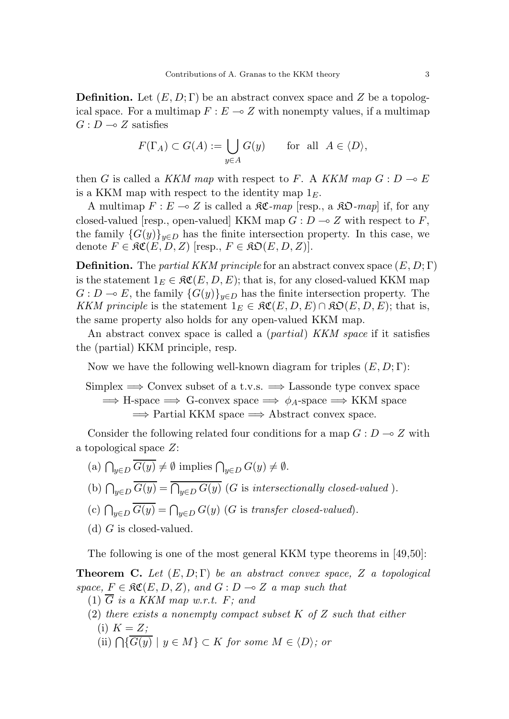**Definition.** Let  $(E, D; \Gamma)$  be an abstract convex space and Z be a topological space. For a multimap  $F : E \to Z$  with nonempty values, if a multimap  $G: D \longrightarrow Z$  satisfies

$$
F(\Gamma_A) \subset G(A) := \bigcup_{y \in A} G(y) \quad \text{for all } A \in \langle D \rangle,
$$

then G is called a KKM map with respect to F. A KKM map  $G: D \to E$ is a KKM map with respect to the identity map  $1<sub>E</sub>$ .

A multimap  $F : E \multimap Z$  is called a  $\mathfrak{RC}\text{-}map$  [resp., a  $\mathfrak{RD}\text{-}map$ ] if, for any closed-valued [resp., open-valued] KKM map  $G: D \to Z$  with respect to F, the family  ${G(y)}_{y\in D}$  has the finite intersection property. In this case, we denote  $F \in \mathfrak{RC}(E, D, Z)$  [resp.,  $F \in \mathfrak{RD}(E, D, Z)$ ].

**Definition.** The partial KKM principle for an abstract convex space  $(E, D; \Gamma)$ is the statement  $1_E \in \mathfrak{RC}(E, D, E)$ ; that is, for any closed-valued KKM map  $G: D \to E$ , the family  ${G(y)}_{y\in D}$  has the finite intersection property. The KKM principle is the statement  $1_E \in \mathfrak{RC}(E, D, E) \cap \mathfrak{RO}(E, D, E)$ ; that is, the same property also holds for any open-valued KKM map.

An abstract convex space is called a *(partial) KKM space* if it satisfies the (partial) KKM principle, resp.

Now we have the following well-known diagram for triples  $(E, D; \Gamma)$ :

Simplex  $\implies$  Convex subset of a t.v.s.  $\implies$  Lassonde type convex space  $\implies$  H-space  $\implies$  G-convex space  $\implies \phi_A$ -space  $\implies$  KKM space  $\Rightarrow$  Partial KKM space  $\Rightarrow$  Abstract convex space.

Consider the following related four conditions for a map  $G: D \to Z$  with a topological space Z:

- (a)  $\bigcap_{y\in D} G(y) \neq \emptyset$  implies  $\bigcap_{y\in D} G(y) \neq \emptyset$ .
- (b)  $\bigcap_{y\in D} G(y) = \bigcap_{y\in D} G(y)$  (G is intersectionally closed-valued).
- (c)  $\bigcap_{y\in D} G(y) = \bigcap_{y\in D} G(y)$  (G is transfer closed-valued).
- (d)  $G$  is closed-valued.

The following is one of the most general KKM type theorems in [49,50]:

**Theorem C.** Let  $(E, D; \Gamma)$  be an abstract convex space, Z a topological space,  $F \in \mathfrak{RC}(E, D, Z)$ , and  $G : D \multimap Z$  a map such that

- (1)  $\overline{G}$  is a KKM map w.r.t. F; and
- (2) there exists a nonempty compact subset  $K$  of  $Z$  such that either (i)  $K = Z$ ;
	- (ii)  $\bigcap \{G(y) \mid y \in M\} \subset K$  for some  $M \in \langle D \rangle$ ; or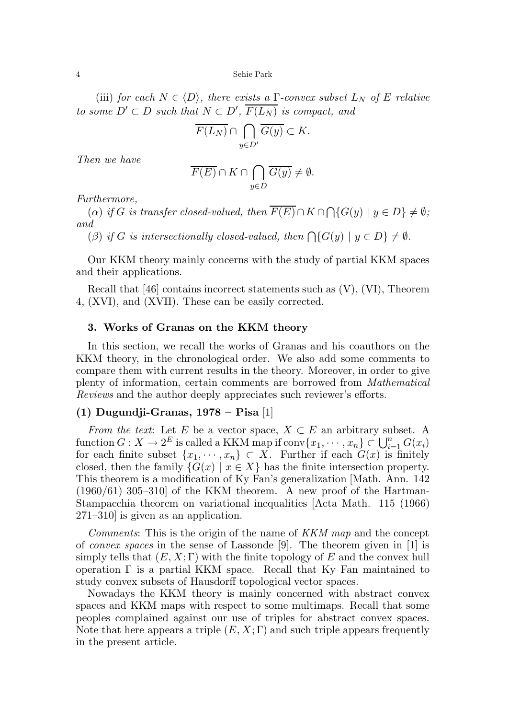(iii) for each  $N \in \langle D \rangle$ , there exists a Γ-convex subset  $L_N$  of E relative to some  $D' \subset D$  such that  $N \subset D'$ ,  $\overline{F(L_N)}$  is compact, and

$$
\overline{F(L_N)} \cap \bigcap_{y \in D'} \overline{G(y)} \subset K.
$$

Then we have

$$
\overline{F(E)} \cap K \cap \bigcap_{y \in D} \overline{G(y)} \neq \emptyset.
$$

Furthermore,

(a) if G is transfer closed-valued, then  $F(E) \cap K \cap \bigcap \{G(y) \mid y \in D\} \neq \emptyset$ ; and

(β) if G is intersectionally closed-valued, then  $\bigcap \{G(y) \mid y \in D\} \neq \emptyset$ .

Our KKM theory mainly concerns with the study of partial KKM spaces and their applications.

Recall that [46] contains incorrect statements such as (V), (VI), Theorem 4, (XVI), and (XVII). These can be easily corrected.

#### 3. Works of Granas on the KKM theory

In this section, we recall the works of Granas and his coauthors on the KKM theory, in the chronological order. We also add some comments to compare them with current results in the theory. Moreover, in order to give plenty of information, certain comments are borrowed from Mathematical Reviews and the author deeply appreciates such reviewer's efforts.

### (1) Dugundji-Granas, 1978 – Pisa [1]

From the text: Let E be a vector space,  $X \subset E$  an arbitrary subset. A function  $G: X \to 2^E$  is called a KKM map if  $conv\{x_1, \dots, x_n\} \subset \bigcup_{i=1}^n G(x_i)$ for each finite subset  $\{x_1, \dots, x_n\} \subset X$ . Further if each  $G(x)$  is finitely closed, then the family  $\{G(x) \mid x \in X\}$  has the finite intersection property. This theorem is a modification of Ky Fan's generalization [Math. Ann. 142  $(1960/61)$  305–310 of the KKM theorem. A new proof of the Hartman-Stampacchia theorem on variational inequalities [Acta Math. 115 (1966) 271–310] is given as an application.

Comments: This is the origin of the name of KKM map and the concept of *convex spaces* in the sense of Lassonde [9]. The theorem given in [1] is simply tells that  $(E, X; \Gamma)$  with the finite topology of E and the convex hull operation  $\Gamma$  is a partial KKM space. Recall that Ky Fan maintained to study convex subsets of Hausdorff topological vector spaces.

Nowadays the KKM theory is mainly concerned with abstract convex spaces and KKM maps with respect to some multimaps. Recall that some peoples complained against our use of triples for abstract convex spaces. Note that here appears a triple  $(E, X; \Gamma)$  and such triple appears frequently in the present article.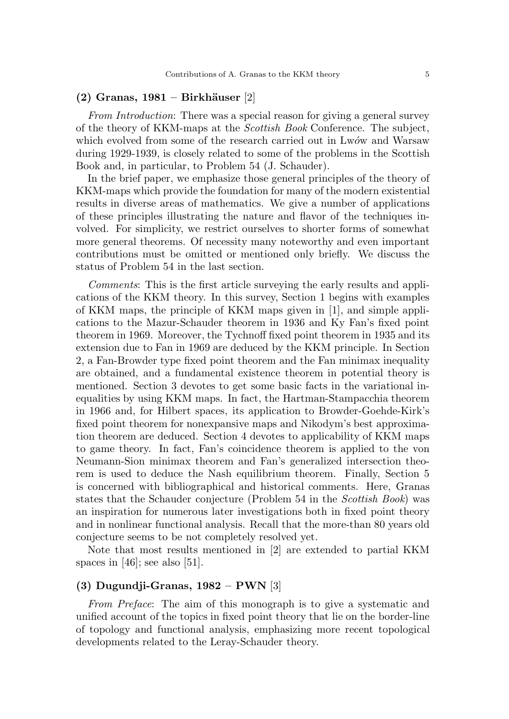#### $(2)$  Granas, 1981 – Birkhäuser [2]

From Introduction: There was a special reason for giving a general survey of the theory of KKM-maps at the *Scottish Book* Conference. The subject, which evolved from some of the research carried out in Lwów and Warsaw during 1929-1939, is closely related to some of the problems in the Scottish Book and, in particular, to Problem 54 (J. Schauder).

In the brief paper, we emphasize those general principles of the theory of KKM-maps which provide the foundation for many of the modern existential results in diverse areas of mathematics. We give a number of applications of these principles illustrating the nature and flavor of the techniques involved. For simplicity, we restrict ourselves to shorter forms of somewhat more general theorems. Of necessity many noteworthy and even important contributions must be omitted or mentioned only briefly. We discuss the status of Problem 54 in the last section.

Comments: This is the first article surveying the early results and applications of the KKM theory. In this survey, Section 1 begins with examples of KKM maps, the principle of KKM maps given in [1], and simple applications to the Mazur-Schauder theorem in 1936 and Ky Fan's fixed point theorem in 1969. Moreover, the Tychnoff fixed point theorem in 1935 and its extension due to Fan in 1969 are deduced by the KKM principle. In Section 2, a Fan-Browder type fixed point theorem and the Fan minimax inequality are obtained, and a fundamental existence theorem in potential theory is mentioned. Section 3 devotes to get some basic facts in the variational inequalities by using KKM maps. In fact, the Hartman-Stampacchia theorem in 1966 and, for Hilbert spaces, its application to Browder-Goehde-Kirk's fixed point theorem for nonexpansive maps and Nikodym's best approximation theorem are deduced. Section 4 devotes to applicability of KKM maps to game theory. In fact, Fan's coincidence theorem is applied to the von Neumann-Sion minimax theorem and Fan's generalized intersection theorem is used to deduce the Nash equilibrium theorem. Finally, Section 5 is concerned with bibliographical and historical comments. Here, Granas states that the Schauder conjecture (Problem 54 in the Scottish Book) was an inspiration for numerous later investigations both in fixed point theory and in nonlinear functional analysis. Recall that the more-than 80 years old conjecture seems to be not completely resolved yet.

Note that most results mentioned in [2] are extended to partial KKM spaces in  $[46]$ ; see also  $[51]$ .

## (3) Dugundji-Granas, 1982 – PWN [3]

From Preface: The aim of this monograph is to give a systematic and unified account of the topics in fixed point theory that lie on the border-line of topology and functional analysis, emphasizing more recent topological developments related to the Leray-Schauder theory.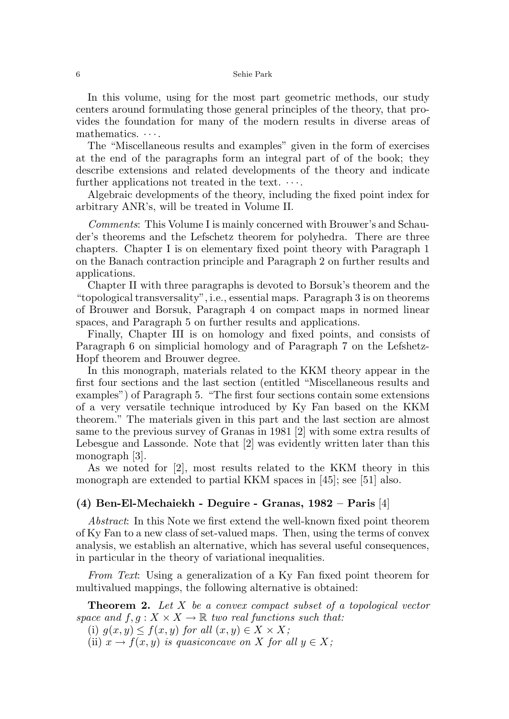In this volume, using for the most part geometric methods, our study centers around formulating those general principles of the theory, that provides the foundation for many of the modern results in diverse areas of mathematics.  $\cdots$ .

The "Miscellaneous results and examples" given in the form of exercises at the end of the paragraphs form an integral part of of the book; they describe extensions and related developments of the theory and indicate further applications not treated in the text.  $\cdots$ .

Algebraic developments of the theory, including the fixed point index for arbitrary ANR's, will be treated in Volume II.

Comments: This Volume I is mainly concerned with Brouwer's and Schauder's theorems and the Lefschetz theorem for polyhedra. There are three chapters. Chapter I is on elementary fixed point theory with Paragraph 1 on the Banach contraction principle and Paragraph 2 on further results and applications.

Chapter II with three paragraphs is devoted to Borsuk's theorem and the "topological transversality", i.e., essential maps. Paragraph 3 is on theorems of Brouwer and Borsuk, Paragraph 4 on compact maps in normed linear spaces, and Paragraph 5 on further results and applications.

Finally, Chapter III is on homology and fixed points, and consists of Paragraph 6 on simplicial homology and of Paragraph 7 on the Lefshetz-Hopf theorem and Brouwer degree.

In this monograph, materials related to the KKM theory appear in the first four sections and the last section (entitled "Miscellaneous results and examples") of Paragraph 5. "The first four sections contain some extensions of a very versatile technique introduced by Ky Fan based on the KKM theorem." The materials given in this part and the last section are almost same to the previous survey of Granas in 1981 [2] with some extra results of Lebesgue and Lassonde. Note that [2] was evidently written later than this monograph [3].

As we noted for [2], most results related to the KKM theory in this monograph are extended to partial KKM spaces in [45]; see [51] also.

#### (4) Ben-El-Mechaiekh - Deguire - Granas, 1982 – Paris [4]

Abstract: In this Note we first extend the well-known fixed point theorem of Ky Fan to a new class of set-valued maps. Then, using the terms of convex analysis, we establish an alternative, which has several useful consequences, in particular in the theory of variational inequalities.

From Text: Using a generalization of a Ky Fan fixed point theorem for multivalued mappings, the following alternative is obtained:

**Theorem 2.** Let  $X$  be a convex compact subset of a topological vector space and  $f, g: X \times X \to \mathbb{R}$  two real functions such that:

(i)  $g(x, y) \leq f(x, y)$  for all  $(x, y) \in X \times X$ ;

(ii)  $x \to f(x, y)$  is quasiconcave on X for all  $y \in X$ ;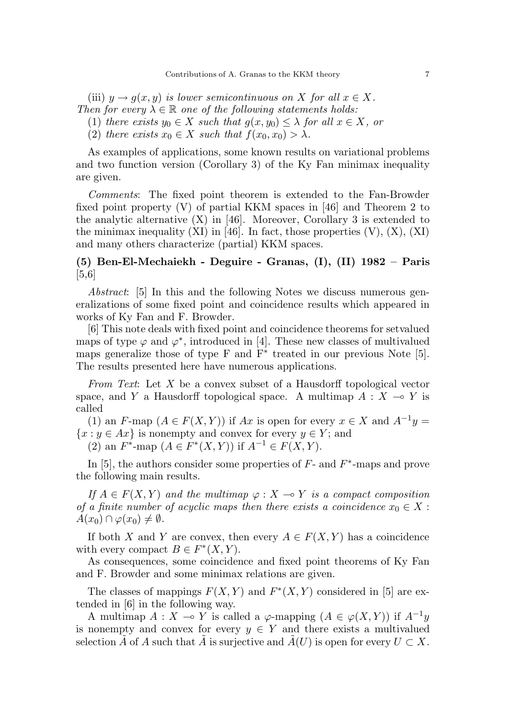(iii)  $y \to q(x, y)$  is lower semicontinuous on X for all  $x \in X$ . Then for every  $\lambda \in \mathbb{R}$  one of the following statements holds:

(1) there exists  $y_0 \in X$  such that  $q(x, y_0) \leq \lambda$  for all  $x \in X$ , or

(2) there exists  $x_0 \in X$  such that  $f(x_0, x_0) > \lambda$ .

As examples of applications, some known results on variational problems and two function version (Corollary 3) of the Ky Fan minimax inequality are given.

Comments: The fixed point theorem is extended to the Fan-Browder fixed point property (V) of partial KKM spaces in [46] and Theorem 2 to the analytic alternative  $(X)$  in [46]. Moreover, Corollary 3 is extended to the minimax inequality  $(XI)$  in [46]. In fact, those properties  $(V)$ ,  $(X)$ ,  $(XI)$ and many others characterize (partial) KKM spaces.

# (5) Ben-El-Mechaiekh - Deguire - Granas, (I), (II) 1982 – Paris [5,6]

Abstract: [5] In this and the following Notes we discuss numerous generalizations of some fixed point and coincidence results which appeared in works of Ky Fan and F. Browder.

[6] This note deals with fixed point and coincidence theorems for setvalued maps of type  $\varphi$  and  $\varphi^*$ , introduced in [4]. These new classes of multivalued maps generalize those of type F and  $\overline{F^*}$  treated in our previous Note [5]. The results presented here have numerous applications.

From Text: Let  $X$  be a convex subset of a Hausdorff topological vector space, and Y a Hausdorff topological space. A multimap  $A : X \to Y$  is called

(1) an F-map  $(A \in F(X, Y))$  if Ax is open for every  $x \in X$  and  $A^{-1}y =$  ${x : y \in Ax}$  is nonempty and convex for every  $y \in Y$ ; and (2) an  $F^*$ -map  $(A \in F^*(X, Y))$  if  $A^{-1} \in F(X, Y)$ .

In [5], the authors consider some properties of  $F$ - and  $F^*$ -maps and prove the following main results.

If  $A \in F(X, Y)$  and the multimap  $\varphi : X \to Y$  is a compact composition of a finite number of acyclic maps then there exists a coincidence  $x_0 \in X$ :  $A(x_0) \cap \varphi(x_0) \neq \emptyset$ .

If both X and Y are convex, then every  $A \in F(X, Y)$  has a coincidence with every compact  $B \in F^*(X, Y)$ .

As consequences, some coincidence and fixed point theorems of Ky Fan and F. Browder and some minimax relations are given.

The classes of mappings  $F(X, Y)$  and  $F^*(X, Y)$  considered in [5] are extended in [6] in the following way.

A multimap  $A: X \multimap Y$  is called a  $\varphi$ -mapping  $(A \in \varphi(X, Y))$  if  $A^{-1}y$ is nonempty and convex for every  $y \in Y$  and there exists a multivalued selection  $\tilde{A}$  of A such that  $\tilde{A}$  is surjective and  $\tilde{A}(U)$  is open for every  $U \subset X$ .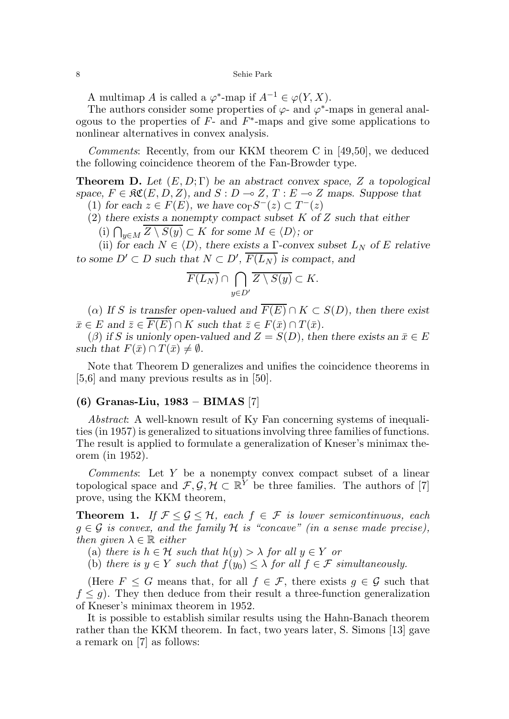A multimap A is called a  $\varphi^*$ -map if  $A^{-1} \in \varphi(Y, X)$ .

The authors consider some properties of  $\varphi$ - and  $\varphi^*$ -maps in general analogous to the properties of  $F$ - and  $F^*$ -maps and give some applications to nonlinear alternatives in convex analysis.

Comments: Recently, from our KKM theorem C in [49,50], we deduced the following coincidence theorem of the Fan-Browder type.

**Theorem D.** Let  $(E, D; \Gamma)$  be an abstract convex space, Z a topological space,  $F \in \mathfrak{RC}(E, D, Z)$ , and  $S : D \to Z, T : E \to Z$  maps. Suppose that (1) for each  $z \in F(E)$ , we have  $\text{co}_{\Gamma}S^{-}(z) \subset T^{-}(z)$ 

(2) there exists a nonempty compact subset  $K$  of  $Z$  such that either

(i)  $\bigcap_{y\in M} Z \setminus S(y) \subset K$  for some  $M \in \langle D \rangle$ ; or

(ii) for each  $N \in \langle D \rangle$ , there exists a Γ-convex subset  $L_N$  of E relative to some  $D' \subset D$  such that  $N \subset D'$ ,  $\overline{F(L_N)}$  is compact, and

$$
\overline{F(L_N)} \cap \bigcap_{y \in D'} \overline{Z \setminus S(y)} \subset K.
$$

( $\alpha$ ) If S is transfer open-valued and  $\overline{F(E)} \cap K \subset S(D)$ , then there exist  $\bar{x} \in E$  and  $\bar{z} \in \overline{F(E)} \cap K$  such that  $\bar{z} \in F(\bar{x}) \cap T(\bar{x})$ .

(β) if S is unionly open-valued and  $Z = S(D)$ , then there exists an  $\bar{x} \in E$ such that  $F(\bar{x}) \cap T(\bar{x}) \neq \emptyset$ .

Note that Theorem D generalizes and unifies the coincidence theorems in [5,6] and many previous results as in [50].

# (6) Granas-Liu, 1983 – BIMAS [7]

Abstract: A well-known result of Ky Fan concerning systems of inequalities (in 1957) is generalized to situations involving three families of functions. The result is applied to formulate a generalization of Kneser's minimax theorem (in 1952).

Comments: Let Y be a nonempty convex compact subset of a linear topological space and  $\mathcal{F}, \mathcal{G}, \mathcal{H} \subset \mathbb{R}^Y$  be three families. The authors of [7] prove, using the KKM theorem,

**Theorem 1.** If  $\mathcal{F} \leq \mathcal{G} \leq \mathcal{H}$ , each  $f \in \mathcal{F}$  is lower semicontinuous, each  $g \in \mathcal{G}$  is convex, and the family H is "concave" (in a sense made precise), then given  $\lambda \in \mathbb{R}$  either

(a) there is  $h \in \mathcal{H}$  such that  $h(y) > \lambda$  for all  $y \in Y$  or

(b) there is  $y \in Y$  such that  $f(y_0) \leq \lambda$  for all  $f \in \mathcal{F}$  simultaneously.

(Here  $F \leq G$  means that, for all  $f \in \mathcal{F}$ , there exists  $g \in \mathcal{G}$  such that  $f \leq g$ ). They then deduce from their result a three-function generalization of Kneser's minimax theorem in 1952.

It is possible to establish similar results using the Hahn-Banach theorem rather than the KKM theorem. In fact, two years later, S. Simons [13] gave a remark on [7] as follows: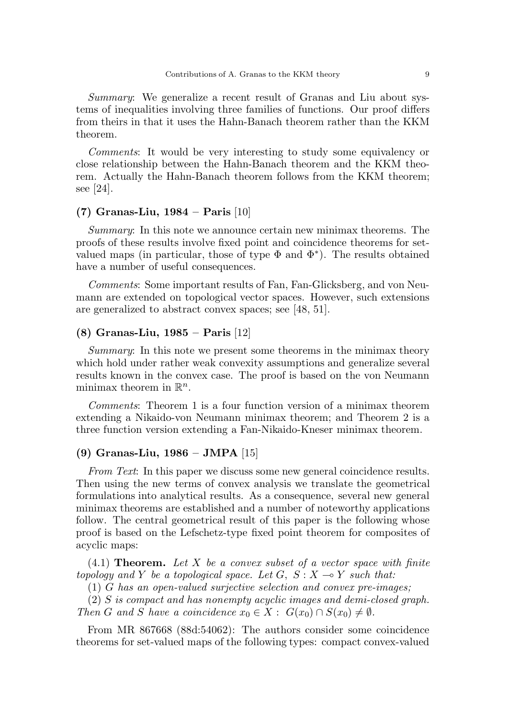Summary: We generalize a recent result of Granas and Liu about systems of inequalities involving three families of functions. Our proof differs from theirs in that it uses the Hahn-Banach theorem rather than the KKM theorem.

Comments: It would be very interesting to study some equivalency or close relationship between the Hahn-Banach theorem and the KKM theorem. Actually the Hahn-Banach theorem follows from the KKM theorem; see [24].

### (7) Granas-Liu, 1984 – Paris [10]

Summary: In this note we announce certain new minimax theorems. The proofs of these results involve fixed point and coincidence theorems for setvalued maps (in particular, those of type  $\Phi$  and  $\Phi^*$ ). The results obtained have a number of useful consequences.

Comments: Some important results of Fan, Fan-Glicksberg, and von Neumann are extended on topological vector spaces. However, such extensions are generalized to abstract convex spaces; see [48, 51].

## (8) Granas-Liu, 1985 – Paris [12]

Summary: In this note we present some theorems in the minimax theory which hold under rather weak convexity assumptions and generalize several results known in the convex case. The proof is based on the von Neumann minimax theorem in  $\mathbb{R}^n$ .

Comments: Theorem 1 is a four function version of a minimax theorem extending a Nikaido-von Neumann minimax theorem; and Theorem 2 is a three function version extending a Fan-Nikaido-Kneser minimax theorem.

### (9) Granas-Liu, 1986 – JMPA [15]

From Text: In this paper we discuss some new general coincidence results. Then using the new terms of convex analysis we translate the geometrical formulations into analytical results. As a consequence, several new general minimax theorems are established and a number of noteworthy applications follow. The central geometrical result of this paper is the following whose proof is based on the Lefschetz-type fixed point theorem for composites of acyclic maps:

 $(4.1)$  Theorem. Let X be a convex subset of a vector space with finite topology and Y be a topological space. Let  $G$ ,  $S: X \rightarrow Y$  such that:

(1) G has an open-valued surjective selection and convex pre-images;

(2) S is compact and has nonempty acyclic images and demi-closed graph. Then G and S have a coincidence  $x_0 \in X : G(x_0) \cap S(x_0) \neq \emptyset$ .

From MR 867668 (88d:54062): The authors consider some coincidence theorems for set-valued maps of the following types: compact convex-valued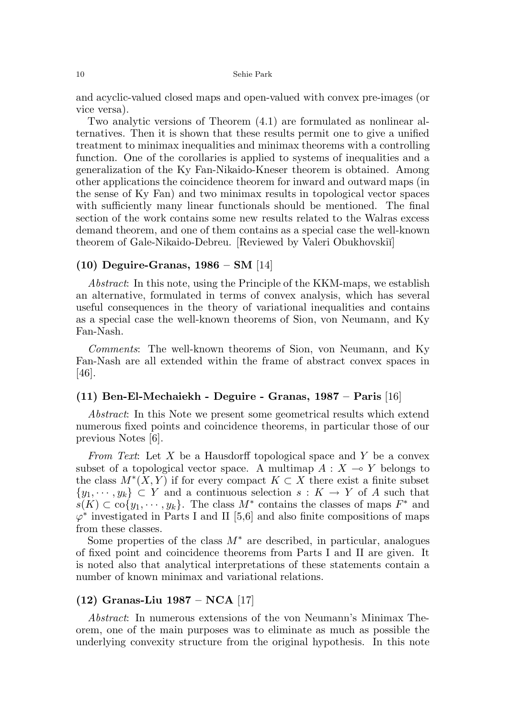and acyclic-valued closed maps and open-valued with convex pre-images (or vice versa).

Two analytic versions of Theorem (4.1) are formulated as nonlinear alternatives. Then it is shown that these results permit one to give a unified treatment to minimax inequalities and minimax theorems with a controlling function. One of the corollaries is applied to systems of inequalities and a generalization of the Ky Fan-Nikaido-Kneser theorem is obtained. Among other applications the coincidence theorem for inward and outward maps (in the sense of Ky Fan) and two minimax results in topological vector spaces with sufficiently many linear functionals should be mentioned. The final section of the work contains some new results related to the Walras excess demand theorem, and one of them contains as a special case the well-known theorem of Gale-Nikaido-Debreu. [Reviewed by Valeri Obukhovskiĭ]

### $(10)$  Deguire-Granas,  $1986 - SM$  [14]

Abstract: In this note, using the Principle of the KKM-maps, we establish an alternative, formulated in terms of convex analysis, which has several useful consequences in the theory of variational inequalities and contains as a special case the well-known theorems of Sion, von Neumann, and Ky Fan-Nash.

Comments: The well-known theorems of Sion, von Neumann, and Ky Fan-Nash are all extended within the frame of abstract convex spaces in [46].

# (11) Ben-El-Mechaiekh - Deguire - Granas, 1987 – Paris [16]

Abstract: In this Note we present some geometrical results which extend numerous fixed points and coincidence theorems, in particular those of our previous Notes [6].

From Text: Let X be a Hausdorff topological space and Y be a convex subset of a topological vector space. A multimap  $A: X \to Y$  belongs to the class  $M^*(X, Y)$  if for every compact  $K \subset X$  there exist a finite subset  $\{y_1, \dots, y_k\} \subset Y$  and a continuous selection  $s: K \to Y$  of A such that  $s(K) \subset \overline{\mathrm{co}}\{y_1, \cdots, y_k\}.$  The class  $M^*$  contains the classes of maps  $F^*$  and  $\varphi^*$  investigated in Parts I and II [5,6] and also finite compositions of maps from these classes.

Some properties of the class  $M^*$  are described, in particular, analogues of fixed point and coincidence theorems from Parts I and II are given. It is noted also that analytical interpretations of these statements contain a number of known minimax and variational relations.

## (12) Granas-Liu 1987 – NCA [17]

Abstract: In numerous extensions of the von Neumann's Minimax Theorem, one of the main purposes was to eliminate as much as possible the underlying convexity structure from the original hypothesis. In this note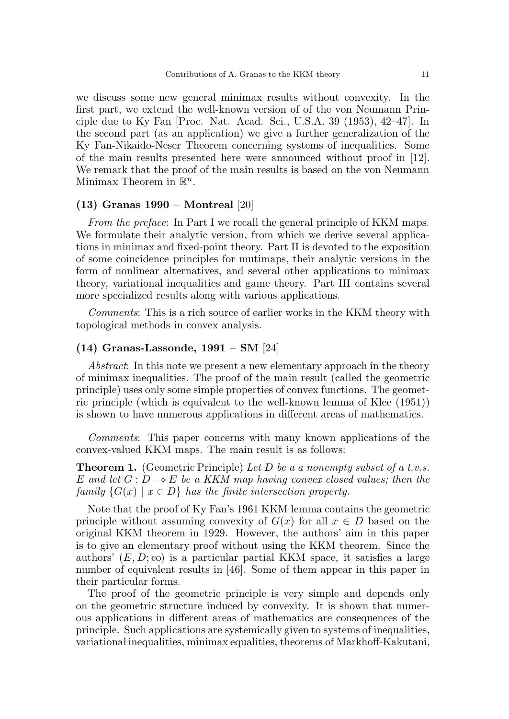we discuss some new general minimax results without convexity. In the first part, we extend the well-known version of of the von Neumann Principle due to Ky Fan [Proc. Nat. Acad. Sci., U.S.A. 39 (1953), 42–47]. In the second part (as an application) we give a further generalization of the Ky Fan-Nikaido-Neser Theorem concerning systems of inequalities. Some of the main results presented here were announced without proof in [12]. We remark that the proof of the main results is based on the von Neumann Minimax Theorem in  $\mathbb{R}^n$ .

### (13) Granas 1990 – Montreal [20]

From the preface: In Part I we recall the general principle of KKM maps. We formulate their analytic version, from which we derive several applications in minimax and fixed-point theory. Part II is devoted to the exposition of some coincidence principles for mutimaps, their analytic versions in the form of nonlinear alternatives, and several other applications to minimax theory, variational inequalities and game theory. Part III contains several more specialized results along with various applications.

Comments: This is a rich source of earlier works in the KKM theory with topological methods in convex analysis.

### (14) Granas-Lassonde, 1991 – SM [24]

Abstract: In this note we present a new elementary approach in the theory of minimax inequalities. The proof of the main result (called the geometric principle) uses only some simple properties of convex functions. The geometric principle (which is equivalent to the well-known lemma of Klee (1951)) is shown to have numerous applications in different areas of mathematics.

Comments: This paper concerns with many known applications of the convex-valued KKM maps. The main result is as follows:

**Theorem 1.** (Geometric Principle) Let D be a a nonempty subset of a t.v.s. E and let  $G: D \to E$  be a KKM map having convex closed values; then the family  $\{G(x) \mid x \in D\}$  has the finite intersection property.

Note that the proof of Ky Fan's 1961 KKM lemma contains the geometric principle without assuming convexity of  $G(x)$  for all  $x \in D$  based on the original KKM theorem in 1929. However, the authors' aim in this paper is to give an elementary proof without using the KKM theorem. Since the authors'  $(E, D; \text{co})$  is a particular partial KKM space, it satisfies a large number of equivalent results in [46]. Some of them appear in this paper in their particular forms.

The proof of the geometric principle is very simple and depends only on the geometric structure induced by convexity. It is shown that numerous applications in different areas of mathematics are consequences of the principle. Such applications are systemically given to systems of inequalities, variational inequalities, minimax equalities, theorems of Markhoff-Kakutani,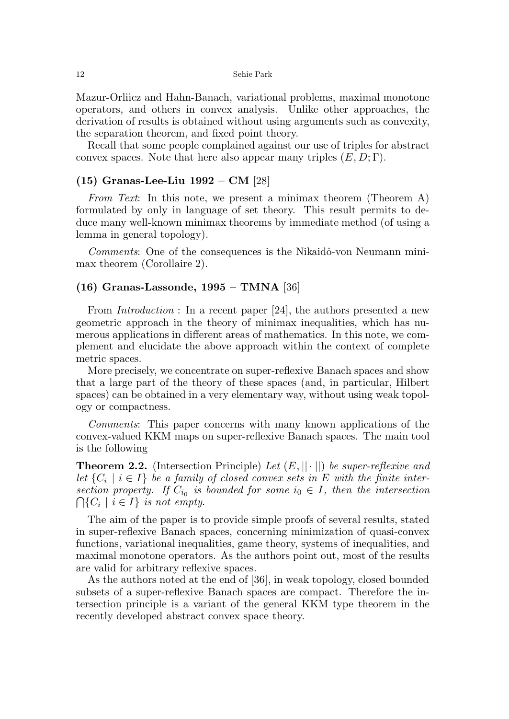Mazur-Orliicz and Hahn-Banach, variational problems, maximal monotone operators, and others in convex analysis. Unlike other approaches, the derivation of results is obtained without using arguments such as convexity, the separation theorem, and fixed point theory.

Recall that some people complained against our use of triples for abstract convex spaces. Note that here also appear many triples  $(E, D; \Gamma)$ .

## (15) Granas-Lee-Liu 1992 – CM [28]

From Text: In this note, we present a minimax theorem (Theorem A) formulated by only in language of set theory. This result permits to deduce many well-known minimax theorems by immediate method (of using a lemma in general topology).

Comments: One of the consequences is the Nikaidô-von Neumann minimax theorem (Corollaire 2).

### (16) Granas-Lassonde, 1995 – TMNA [36]

From *Introduction* : In a recent paper [24], the authors presented a new geometric approach in the theory of minimax inequalities, which has numerous applications in different areas of mathematics. In this note, we complement and elucidate the above approach within the context of complete metric spaces.

More precisely, we concentrate on super-reflexive Banach spaces and show that a large part of the theory of these spaces (and, in particular, Hilbert spaces) can be obtained in a very elementary way, without using weak topology or compactness.

Comments: This paper concerns with many known applications of the convex-valued KKM maps on super-reflexive Banach spaces. The main tool is the following

**Theorem 2.2.** (Intersection Principle) Let  $(E, ||\cdot||)$  be super-reflexive and let  $\{C_i \mid i \in I\}$  be a family of closed convex sets in E with the finite intersection property. If  $C_{i_0}$  is bounded for some  $i_0 \in I$ , then the intersection  $\bigcap \{C_i \mid i \in I\}$  is not empty.

The aim of the paper is to provide simple proofs of several results, stated in super-reflexive Banach spaces, concerning minimization of quasi-convex functions, variational inequalities, game theory, systems of inequalities, and maximal monotone operators. As the authors point out, most of the results are valid for arbitrary reflexive spaces.

As the authors noted at the end of [36], in weak topology, closed bounded subsets of a super-reflexive Banach spaces are compact. Therefore the intersection principle is a variant of the general KKM type theorem in the recently developed abstract convex space theory.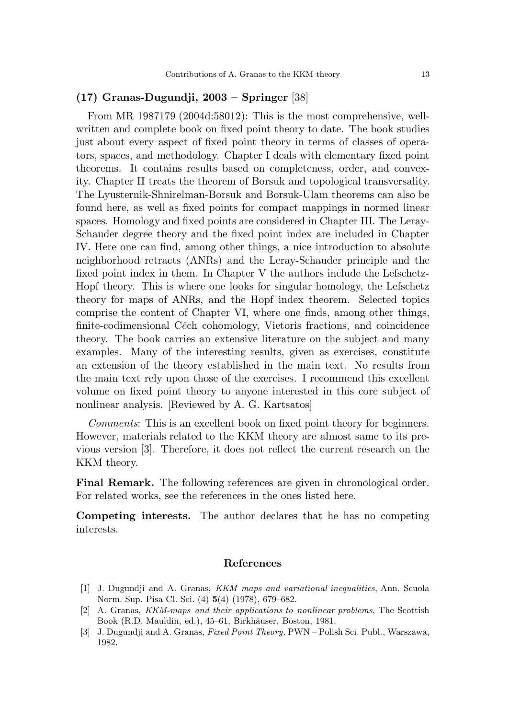### (17) Granas-Dugundji, 2003 – Springer [38]

From MR 1987179 (2004d:58012): This is the most comprehensive, wellwritten and complete book on fixed point theory to date. The book studies just about every aspect of fixed point theory in terms of classes of operators, spaces, and methodology. Chapter I deals with elementary fixed point theorems. It contains results based on completeness, order, and convexity. Chapter II treats the theorem of Borsuk and topological transversality. The Lyusternik-Shnirelman-Borsuk and Borsuk-Ulam theorems can also be found here, as well as fixed points for compact mappings in normed linear spaces. Homology and fixed points are considered in Chapter III. The Leray-Schauder degree theory and the fixed point index are included in Chapter IV. Here one can find, among other things, a nice introduction to absolute neighborhood retracts (ANRs) and the Leray-Schauder principle and the fixed point index in them. In Chapter V the authors include the Lefschetz-Hopf theory. This is where one looks for singular homology, the Lefschetz theory for maps of ANRs, and the Hopf index theorem. Selected topics comprise the content of Chapter VI, where one finds, among other things, finite-codimensional Cěch cohomology, Vietoris fractions, and coincidence theory. The book carries an extensive literature on the subject and many examples. Many of the interesting results, given as exercises, constitute an extension of the theory established in the main text. No results from the main text rely upon those of the exercises. I recommend this excellent volume on fixed point theory to anyone interested in this core subject of nonlinear analysis. [Reviewed by A. G. Kartsatos]

Comments: This is an excellent book on fixed point theory for beginners. However, materials related to the KKM theory are almost same to its previous version [3]. Therefore, it does not reflect the current research on the KKM theory.

Final Remark. The following references are given in chronological order. For related works, see the references in the ones listed here.

Competing interests. The author declares that he has no competing interests.

#### References

- [1] J. Dugundji and A. Granas, KKM maps and variational inequalities, Ann. Scuola Norm. Sup. Pisa Cl. Sci. (4) 5(4) (1978), 679–682.
- [2] A. Granas, KKM-maps and their applications to nonlinear problems, The Scottish Book (R.D. Mauldin, ed.), 45–61, Birkhäuser, Boston, 1981.
- [3] J. Dugundji and A. Granas, Fixed Point Theory, PWN Polish Sci. Publ., Warszawa, 1982.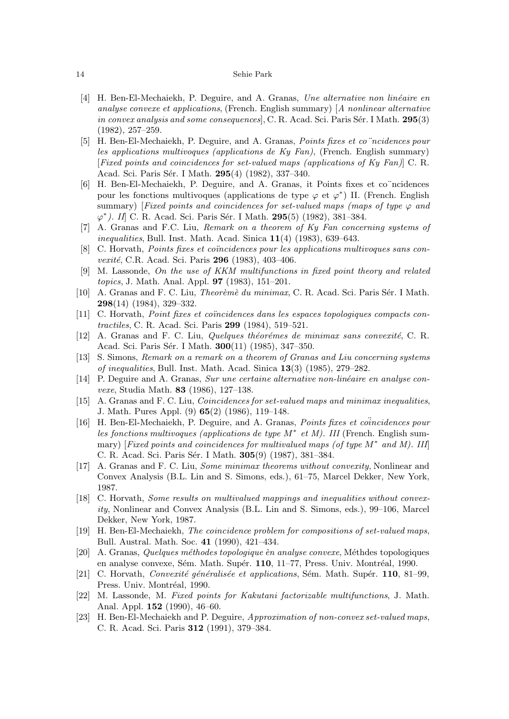- [4] H. Ben-El-Mechaiekh, P. Deguire, and A. Granas, Une alternative non linéaire en analyse convexe et applications, (French. English summary) [A nonlinear alternative in convex analysis and some consequences,  $C$ . R. Acad. Sci. Paris Sér. I Math. 295(3) (1982), 257–259.
- [5] H. Ben-El-Mechaiekh, P. Deguire, and A. Granas, Points fixes et co¨ncidences pour les applications multivoques (applications de Ky Fan), (French. English summary) [Fixed points and coincidences for set-valued maps (applications of Ky Fan)] C. R. Acad. Sci. Paris Sér. I Math. 295(4) (1982), 337-340.
- [6] H. Ben-El-Mechaiekh, P. Deguire, and A. Granas, it Points fixes et co¨ncidences pour les fonctions multivoques (applications de type  $\varphi$  et  $\varphi^*$ ) II. (French. English summary) [Fixed points and coincidences for set-valued maps (maps of type  $\varphi$  and  $\varphi^*$ ). II] C. R. Acad. Sci. Paris Sér. I Math. 295(5) (1982), 381–384.
- [7] A. Granas and F.C. Liu, Remark on a theorem of Ky Fan concerning systems of inequalities, Bull. Inst. Math. Acad. Sinica  $11(4)$  (1983), 639–643.
- [8] C. Horvath, *Points fixes et coincidences pour les applications multivoques sans con*vexité, C.R. Acad. Sci. Paris 296 (1983), 403-406.
- [9] M. Lassonde, On the use of KKM multifunctions in fixed point theory and related topics, J. Math. Anal. Appl. 97 (1983), 151–201.
- [10] A. Granas and F. C. Liu, *Theorèmè du minimax*, C. R. Acad. Sci. Paris Sér. I Math. 298(14) (1984), 329–332.
- [11] C. Horvath, *Point fixes et conncidences dans les espaces topologiques compacts con*tractiles, C. R. Acad. Sci. Paris 299 (1984), 519–521.
- $[12]$  A. Granas and F. C. Liu, *Quelques théorémes de minimax sans convexité*, C. R. Acad. Sci. Paris Sér. I Math. **300**(11) (1985), 347-350.
- [13] S. Simons, Remark on a remark on a theorem of Granas and Liu concerning systems of inequalities, Bull. Inst. Math. Acad. Sinica  $13(3)$  (1985), 279–282.
- [14] P. Deguire and A. Granas, Sur une certaine alternative non-linéaire en analyse convexe, Studia Math. 83 (1986), 127–138.
- [15] A. Granas and F. C. Liu, Coincidences for set-valued maps and minimax inequalities, J. Math. Pures Appl. (9) 65(2) (1986), 119–148.
- [16] H. Ben-El-Mechaiekh, P. Deguire, and A. Granas, *Points fixes et conncidences pour* les fonctions multivoques (applications de type  $M^*$  et M). III (French. English summary) [Fixed points and coincidences for multivalued maps (of type  $M^*$  and M). III] C. R. Acad. Sci. Paris Sér. I Math. 305(9) (1987), 381-384.
- [17] A. Granas and F. C. Liu, Some minimax theorems without convexity, Nonlinear and Convex Analysis (B.L. Lin and S. Simons, eds.), 61–75, Marcel Dekker, New York, 1987.
- [18] C. Horvath, Some results on multivalued mappings and inequalities without convexity, Nonlinear and Convex Analysis (B.L. Lin and S. Simons, eds.), 99–106, Marcel Dekker, New York, 1987.
- [19] H. Ben-El-Mechaiekh, The coincidence problem for compositions of set-valued maps, Bull. Austral. Math. Soc. 41 (1990), 421–434.
- [20] A. Granas, Quelques méthodes topologique èn analyse convexe, Méthdes topologiques en analyse convexe, Sém. Math. Supér.  $110$ ,  $11-77$ , Press. Univ. Montréal, 1990.
- [21] C. Horvath, Convexité généralisée et applications, Sém. Math. Supér.  $110$ , 81–99, Press. Univ. Montréal, 1990.
- [22] M. Lassonde, M. Fixed points for Kakutani factorizable multifunctions, J. Math. Anal. Appl. 152 (1990), 46–60.
- [23] H. Ben-El-Mechaiekh and P. Deguire, Approximation of non-convex set-valued maps, C. R. Acad. Sci. Paris 312 (1991), 379–384.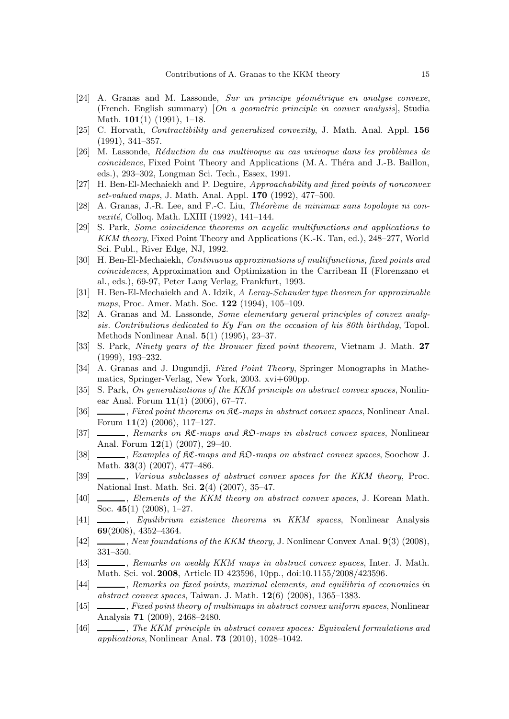- $[24]$  A. Granas and M. Lassonde, *Sur un principe géométrique en analyse convexe*, (French. English summary) [On a geometric principle in convex analysis], Studia Math.  $101(1)$  (1991), 1-18.
- [25] C. Horvath, *Contractibility and generalized convexity*, J. Math. Anal. Appl. 156 (1991), 341–357.
- [26] M. Lassonde, Réduction du cas multivoque au cas univoque dans les problèmes de coincidence, Fixed Point Theory and Applications (M.A. Théra and J.-B. Baillon, eds.), 293–302, Longman Sci. Tech., Essex, 1991.
- [27] H. Ben-El-Mechaiekh and P. Deguire, Approachability and fixed points of nonconvex set-valued maps, J. Math. Anal. Appl. 170 (1992), 477–500.
- [28] A. Granas, J.-R. Lee, and F.-C. Liu, *Théorème de minimax sans topologie ni convexité*, Colloq. Math. LXIII (1992), 141–144.
- [29] S. Park, Some coincidence theorems on acyclic multifunctions and applications to KKM theory, Fixed Point Theory and Applications (K.-K. Tan, ed.), 248–277, World Sci. Publ., River Edge, NJ, 1992.
- [30] H. Ben-El-Mechaiekh, Continuous approximations of multifunctions, fixed points and coincidences, Approximation and Optimization in the Carribean II (Florenzano et al., eds.), 69-97, Peter Lang Verlag, Frankfurt, 1993.
- [31] H. Ben-El-Mechaiekh and A. Idzik, A Leray-Schauder type theorem for approximable maps, Proc. Amer. Math. Soc. **122** (1994), 105-109.
- [32] A. Granas and M. Lassonde, Some elementary general principles of convex analysis. Contributions dedicated to Ky Fan on the occasion of his 80th birthday, Topol. Methods Nonlinear Anal. 5(1) (1995), 23–37.
- [33] S. Park, Ninety years of the Brouwer fixed point theorem, Vietnam J. Math. 27 (1999), 193–232.
- [34] A. Granas and J. Dugundji, Fixed Point Theory, Springer Monographs in Mathematics, Springer-Verlag, New York, 2003. xvi+690pp.
- [35] S. Park, On generalizations of the KKM principle on abstract convex spaces, Nonlinear Anal. Forum  $11(1)$  (2006), 67-77.
- [36] , Fixed point theorems on  $\Re\mathfrak{C}$ -maps in abstract convex spaces, Nonlinear Anal. Forum 11(2) (2006), 117–127.
- [37] , Remarks on  $\Re\mathfrak{C}$ -maps and  $\Re\mathfrak{D}$ -maps in abstract convex spaces, Nonlinear Anal. Forum  $12(1)$   $(2007)$ ,  $29-40$ .
- [38] , Examples of  $R\mathfrak{C}$ -maps and  $R\mathfrak{D}$ -maps on abstract convex spaces, Soochow J. Math. 33(3) (2007), 477–486.
- [39]  $\_\_\_\_\_\$ , Various subclasses of abstract convex spaces for the KKM theory, Proc. National Inst. Math. Sci. 2(4) (2007), 35–47.
- [40]  $\quad \qquad$  Elements of the KKM theory on abstract convex spaces, J. Korean Math. Soc. 45(1) (2008), 1–27.
- [41] , Equilibrium existence theorems in KKM spaces, Nonlinear Analysis 69(2008), 4352–4364.
- $[42] \quad \underline{\hspace{1cm}}$ , New foundations of the KKM theory, J. Nonlinear Convex Anal. 9(3) (2008), 331–350.
- [43] , Remarks on weakly KKM maps in abstract convex spaces, Inter. J. Math. Math. Sci. vol. 2008, Article ID 423596, 10pp., doi:10.1155/2008/423596.
- [44]  $\_\_\_\_\$ , Remarks on fixed points, maximal elements, and equilibria of economies in abstract convex spaces, Taiwan. J. Math. 12(6) (2008), 1365–1383.
- [45] , Fixed point theory of multimaps in abstract convex uniform spaces, Nonlinear Analysis 71 (2009), 2468–2480.
- [46] , The KKM principle in abstract convex spaces: Equivalent formulations and applications, Nonlinear Anal. 73 (2010), 1028–1042.